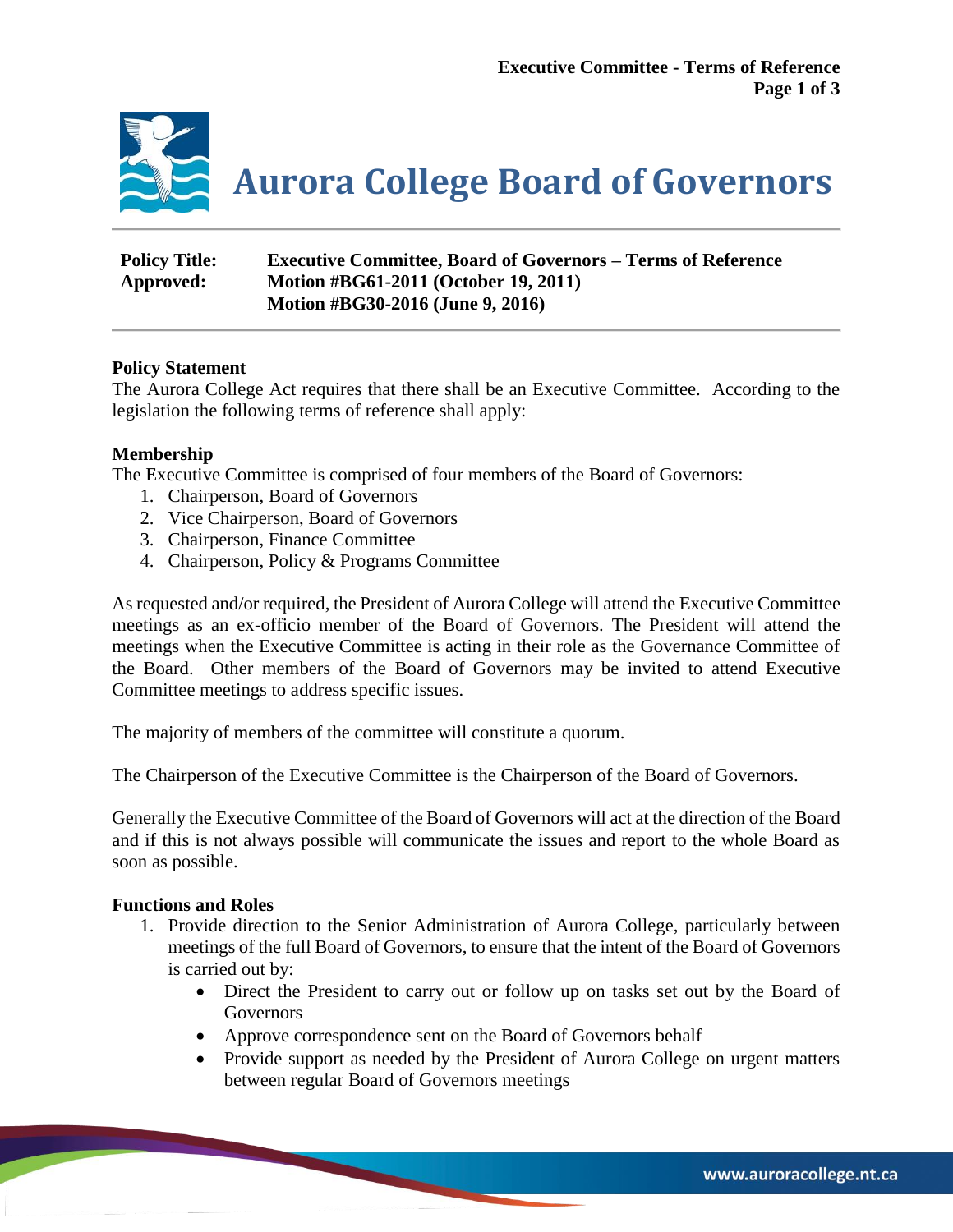

**Aurora College Board of Governors**

| <b>Policy Title:</b> | <b>Executive Committee, Board of Governors – Terms of Reference</b> |
|----------------------|---------------------------------------------------------------------|
| Approved:            | Motion #BG61-2011 (October 19, 2011)                                |
|                      | Motion #BG30-2016 (June 9, 2016)                                    |

## **Policy Statement**

The Aurora College Act requires that there shall be an Executive Committee. According to the legislation the following terms of reference shall apply:

## **Membership**

The Executive Committee is comprised of four members of the Board of Governors:

- 1. Chairperson, Board of Governors
- 2. Vice Chairperson, Board of Governors
- 3. Chairperson, Finance Committee
- 4. Chairperson, Policy & Programs Committee

As requested and/or required, the President of Aurora College will attend the Executive Committee meetings as an ex-officio member of the Board of Governors. The President will attend the meetings when the Executive Committee is acting in their role as the Governance Committee of the Board. Other members of the Board of Governors may be invited to attend Executive Committee meetings to address specific issues.

The majority of members of the committee will constitute a quorum.

The Chairperson of the Executive Committee is the Chairperson of the Board of Governors.

Generally the Executive Committee of the Board of Governors will act at the direction of the Board and if this is not always possible will communicate the issues and report to the whole Board as soon as possible.

### **Functions and Roles**

- 1. Provide direction to the Senior Administration of Aurora College, particularly between meetings of the full Board of Governors, to ensure that the intent of the Board of Governors is carried out by:
	- Direct the President to carry out or follow up on tasks set out by the Board of Governors
	- Approve correspondence sent on the Board of Governors behalf
	- Provide support as needed by the President of Aurora College on urgent matters between regular Board of Governors meetings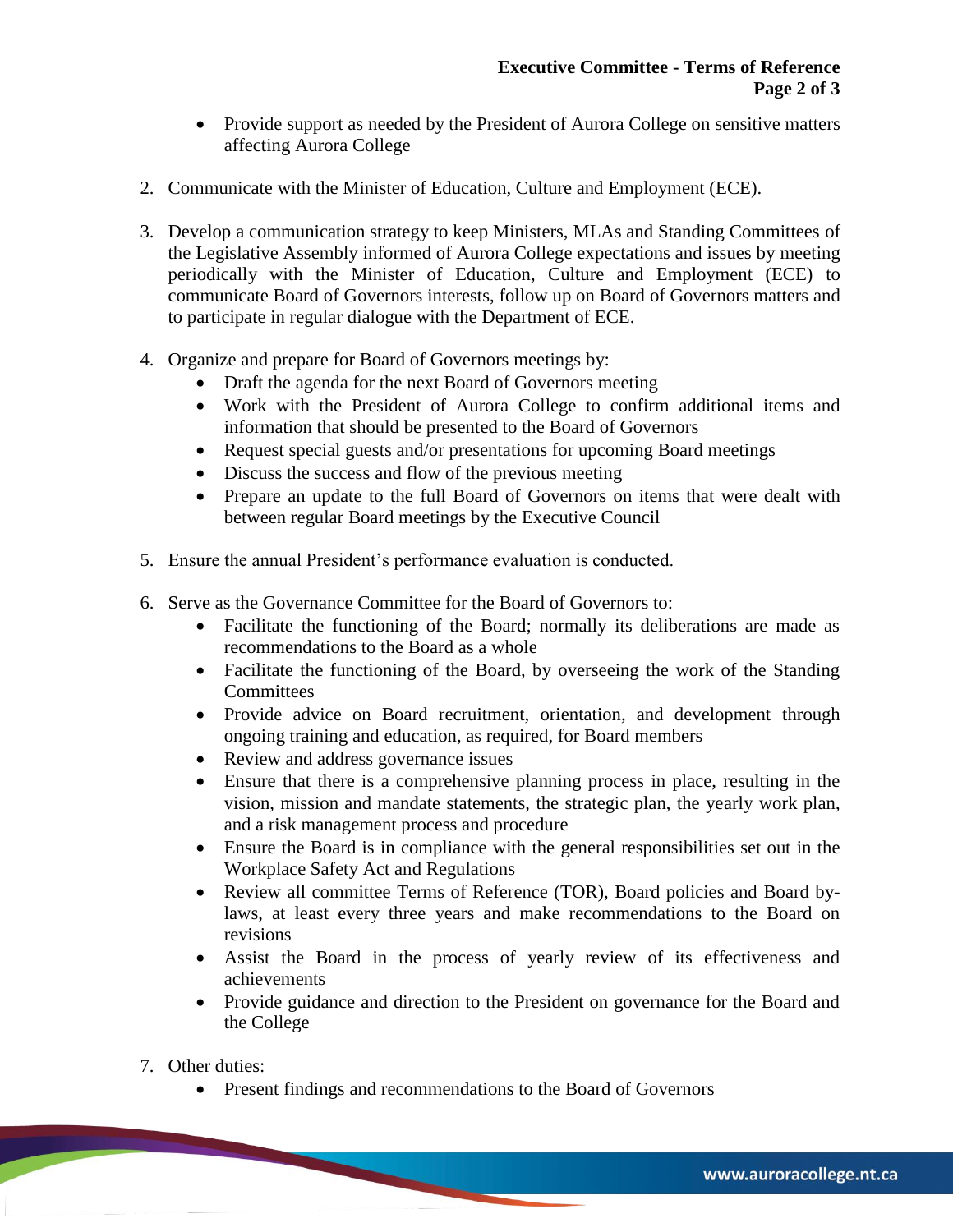- Provide support as needed by the President of Aurora College on sensitive matters affecting Aurora College
- 2. Communicate with the Minister of Education, Culture and Employment (ECE).
- 3. Develop a communication strategy to keep Ministers, MLAs and Standing Committees of the Legislative Assembly informed of Aurora College expectations and issues by meeting periodically with the Minister of Education, Culture and Employment (ECE) to communicate Board of Governors interests, follow up on Board of Governors matters and to participate in regular dialogue with the Department of ECE.
- 4. Organize and prepare for Board of Governors meetings by:
	- Draft the agenda for the next Board of Governors meeting
	- Work with the President of Aurora College to confirm additional items and information that should be presented to the Board of Governors
	- Request special guests and/or presentations for upcoming Board meetings
	- Discuss the success and flow of the previous meeting
	- Prepare an update to the full Board of Governors on items that were dealt with between regular Board meetings by the Executive Council
- 5. Ensure the annual President's performance evaluation is conducted.
- 6. Serve as the Governance Committee for the Board of Governors to:
	- Facilitate the functioning of the Board; normally its deliberations are made as recommendations to the Board as a whole
	- Facilitate the functioning of the Board, by overseeing the work of the Standing **Committees**
	- Provide advice on Board recruitment, orientation, and development through ongoing training and education, as required, for Board members
	- Review and address governance issues
	- Ensure that there is a comprehensive planning process in place, resulting in the vision, mission and mandate statements, the strategic plan, the yearly work plan, and a risk management process and procedure
	- Ensure the Board is in compliance with the general responsibilities set out in the Workplace Safety Act and Regulations
	- Review all committee Terms of Reference (TOR), Board policies and Board bylaws, at least every three years and make recommendations to the Board on revisions
	- Assist the Board in the process of yearly review of its effectiveness and achievements
	- Provide guidance and direction to the President on governance for the Board and the College
- 7. Other duties:
	- Present findings and recommendations to the Board of Governors